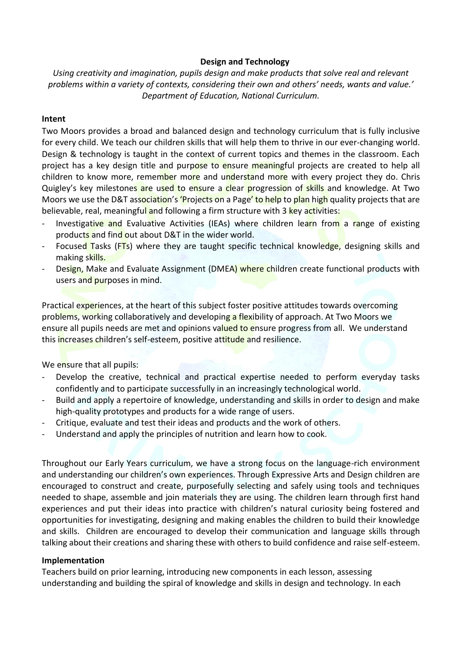## **Design and Technology**

*Using creativity and imagination, pupils design and make products that solve real and relevant problems within a variety of contexts, considering their own and others' needs, wants and value.' Department of Education, National Curriculum.*

## **Intent**

Two Moors provides a broad and balanced design and technology curriculum that is fully inclusive for every child. We teach our children skills that will help them to thrive in our ever-changing world. Design & technology is taught in the context of current topics and themes in the classroom. Each project has a key design title and purpose to ensure meaningful projects are created to help all children to know more, remember more and understand more with every project they do. Chris Quigley's key milestones are used to ensure a clear progression of skills and knowledge. At Two Moors we use the D&T association's 'Projects on a Page' to help to plan high quality projects that are believable, real, meaningful and following a firm structure with 3 key activities:

- Investigative and Evaluative Activities (IEAs) where children learn from a range of existing products and find out about D&T in the wider world.
- Focused Tasks (FTs) where they are taught specific technical knowledge, designing skills and making skills.
- Design, Make and Evaluate Assignment (DMEA) where children create functional products with users and purposes in mind.

Practical experiences, at the heart of this subject foster positive attitudes towards overcoming problems, working collaboratively and developing a flexibility of approach. At Two Moors we ensure all pupils needs are met and opinions valued to ensure progress from all. We understand this increases children's self-esteem, positive attitude and resilience.

We ensure that all pupils:

- Develop the creative, technical and practical expertise needed to perform everyday tasks confidently and to participate successfully in an increasingly technological world.
- Build and apply a repertoire of knowledge, understanding and skills in order to design and make high-quality prototypes and products for a wide range of users.
- Critique, evaluate and test their ideas and products and the work of others.
- Understand and apply the principles of nutrition and learn how to cook.

Throughout our Early Years curriculum, we have a strong focus on the language-rich environment and understanding our children's own experiences. Through Expressive Arts and Design children are encouraged to construct and create, purposefully selecting and safely using tools and techniques needed to shape, assemble and join materials they are using. The children learn through first hand experiences and put their ideas into practice with children's natural curiosity being fostered and opportunities for investigating, designing and making enables the children to build their knowledge and skills. Children are encouraged to develop their communication and language skills through talking about their creations and sharing these with others to build confidence and raise self-esteem.

## **Implementation**

Teachers build on prior learning, introducing new components in each lesson, assessing understanding and building the spiral of knowledge and skills in design and technology. In each